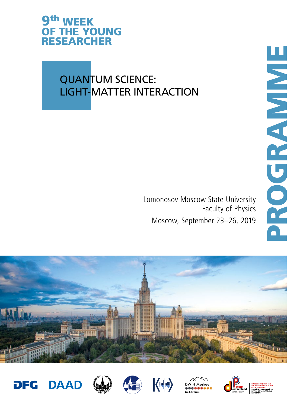### 9th WEEK OF THE YOUNG RESEARCHER

## QUANTUM SCIENCE: LIGHT-MATTER INTERACTION

Lomonosov Moscow State University Faculty of Physics Moscow, September 23–26, 2019















PROGRAMME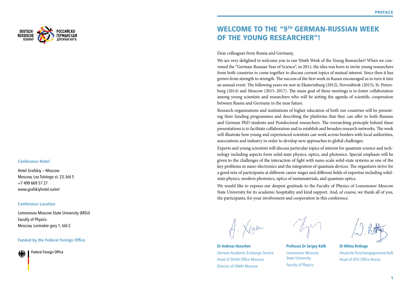

### **Conference Hotel**

Hotel Grafskiy – Moscow Moscow, Lva Tolstogo st. 23, bld 5 +7 499 669 57 27 www.grafskiyhotel.ru/en/

### **Conference Location**

Lomonosov Moscow State University (MSU) Faculty of Physics Moscow, Leninskie gory 1, bld 2

### **Funded by the Federal Foreign Office**

Federal Foreign Office

## WELCOME TO THE "9TH GERMAN-RUSSIAN WEEK OF THE YOUNG RESEARCHER"!

### Dear colleagues from Russia and Germany,

We are very delighted to welcome you to our Ninth Week of the Young Researcher! When we convened the "German-Russian Year of Science", in 2011, the idea was born to invite young researchers from both countries to come together to discuss current topics of mutual interest. Since then it has grown from strength to strength. The success of the first week in Kazan encouraged us to turn it into an annual event. The following years we met in Ekaterinburg (2012), Novosibirsk (2013), St. Petersburg (2014) and Moscow (2015–2017). The main goal of these meetings is to foster collaboration among young scientists and researchers who will be setting the agenda of scientific cooperation between Russia and Germany in the near future.

Research organizations and institutions of higher education of both our countries will be presenting their funding programmes and describing the platforms that they can offer to both Russian and German PhD students and Postdoctoral researchers. The overarching principle behind these presentations is to facilitate collaboration and to establish and broaden research networks. The week will illustrate how young and experienced scientists can work across borders with local authorities, associations and industry in order to develop new approaches to global challenges.

Experts and young scientists will discuss particular topics of interest for quantum science and technology including aspects form solid-state physics, optics, and photonics. Special emphasis will be given to the challenges of the interaction of light with nano-scale solid-state systems as one of the key problems in nano-electronics and the integration of quantum devices. The organizers strive for a good mix of participants at different career stages and different fields of expertise including solidstate physics, modern photonics, optics of metamaterials, and quantum optics.

We would like to express our deepest gratitude to the Faculty of Physics of Lomonosov Moscow State University for its academic hospitality and kind support. And, of course, we thank all of you, the participants, for your involvement and cooperation in this conference.



**Dr Andreas Hoeschen** German Academic Exchange Service Head of DAAD Office Moscow Director of DWIH Moscow

**Professor Dr Sergey Kulik** Lomonosov Moscow State University Faculty of Physics

**Dr Wilma Rethage** Deutsche Forschungsgemeinschaft Head of DFG Office Russia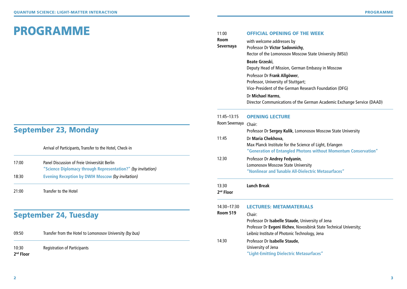# PROGRAMME

## September 23, Monday

Arrival of Participants, Transfer to the Hotel, Check-in

| 17:00 | Panel Discussion of Freie Universität Berlin<br>"Science Diplomacy through Representation?" (by invitation) |  |  |
|-------|-------------------------------------------------------------------------------------------------------------|--|--|
| 18:30 | Evening Reception by DWIH Moscow (by invitation)                                                            |  |  |
| 21:00 | Transfer to the Hotel                                                                                       |  |  |

## September 24, Tuesday

| 09:50                | Transfer from the Hotel to Lomonosov University (by bus) |  |  |
|----------------------|----------------------------------------------------------|--|--|
| 10:30<br>$2nd$ Floor | <b>Registration of Participants</b>                      |  |  |

| 11:00                          | <b>OFFICIAL OPENING OF THE WEEK</b>                                                                                                                                                  |
|--------------------------------|--------------------------------------------------------------------------------------------------------------------------------------------------------------------------------------|
| <b>Room</b><br>Severnaya       | with welcome addresses by<br>Professor Dr Victor Sadovnichy,<br>Rector of the Lomonosov Moscow State University (MSU)                                                                |
|                                | Beate Grzeski,<br>Deputy Head of Mission, German Embassy in Moscow                                                                                                                   |
|                                | Professor Dr Frank Allgöwer,<br>Professor, University of Stuttgart;<br>Vice-President of the German Research Foundation (DFG)                                                        |
|                                | Dr Michael Harms,<br>Director Communications of the German Academic Exchange Service (DAAD)                                                                                          |
| 11:45-13:15                    | <b>OPENING LECTURE</b>                                                                                                                                                               |
| Room Severnaya                 | Chair:<br>Professor Dr Sergey Kulik, Lomonosov Moscow State University                                                                                                               |
| 11:45                          | Dr Maria Chekhova,<br>Max Planck Institute for the Science of Light, Erlangen<br>"Generation of Entangled Photons without Momentum Conservation"                                     |
| 12:30                          | Professor Dr Andrey Fedyanin,<br><b>Lomonosov Moscow State University</b><br>"Nonlinear and Tunable All-Dielectric Metasurfaces"                                                     |
| 13:30<br>2 <sup>nd</sup> Floor | <b>Lunch Break</b>                                                                                                                                                                   |
| 14:30-17:30                    | <b>LECTURES: METAMATERIALS</b>                                                                                                                                                       |
| <b>Room 519</b>                | Chair:<br>Professor Dr Isabelle Staude, University of Jena<br>Professor Dr Evgeni Ilichev, Novosibirsk State Technical University;<br>Leibniz Institute of Photonic Technology, Jena |
| 14:30                          | Professor Dr Isabelle Staude,<br>University of Jena<br>"Light-Emitting Dielectric Metasurfaces"                                                                                      |
|                                |                                                                                                                                                                                      |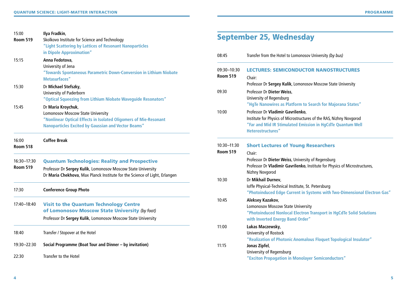| 15:00<br><b>Room 519</b>       | Ilya Fradkin,<br>Skolkovo Institute for Science and Technology<br>"Light Scattering by Lattices of Resonant Nanoparticles                                                                          | <b>Sep</b>                  |
|--------------------------------|----------------------------------------------------------------------------------------------------------------------------------------------------------------------------------------------------|-----------------------------|
| 15:15                          | in Dipole Approximation"<br>Anna Fedotova,<br>University of Jena<br>"Towards Spontaneous Parametric Down-Conversion in Lithium Niobate<br>Metasurfaces"                                            | 08:45<br>$09:30-$<br>Room 5 |
| 15:30                          | Dr Michael Stefszky,<br><b>University of Paderborn</b><br>"Optical Squeezing from Lithium Niobate Waveguide Resonators"                                                                            | 09:30                       |
| 15:45                          | Dr Maria Kroychuk,<br><b>Lomonosov Moscow State University</b><br>"Nonlinear Optical Effects in Isolated Oligomers of Mie-Resonant<br><b>Nanoparticles Excited by Gaussian and Vector Beams"</b>   | 10:00                       |
| 16:00<br><b>Room 518</b>       | <b>Coffee Break</b>                                                                                                                                                                                | $10:30-$<br>Room 5          |
| 16:30-17:30<br><b>Room 519</b> | <b>Quantum Technologies: Reality and Prospective</b><br>Professor Dr Sergey Kulik, Lomonosov Moscow State University<br>Dr Maria Chekhova, Max Planck Institute for the Science of Light, Erlangen | 10:30                       |
| 17:30                          | <b>Conference Group Photo</b>                                                                                                                                                                      |                             |
| 17:40-18:40                    | <b>Visit to the Quantum Technology Centre</b><br>of Lomonosov Moscow State University (by foot)<br>Professor Dr Sergey Kulik, Lomonosov Moscow State University                                    | 10:45                       |
| 18:40                          | Transfer / Stopover at the Hotel                                                                                                                                                                   | 11:00                       |
| 19:30-22:30                    | Social Programme (Boat Tour and Dinner - by invitation)                                                                                                                                            | 11:15                       |
| 22:30                          | Transfer to the Hotel                                                                                                                                                                              |                             |

## **Intember 25, Wednesday**

| 08:45                          | Transfer from the Hotel to Lomonosov University (by bus)                                                                                                                |
|--------------------------------|-------------------------------------------------------------------------------------------------------------------------------------------------------------------------|
| 09:30-10:30<br><b>Room 519</b> | <b>LECTURES: SEMICONDUCTOR NANOSTRUCTURES</b><br>Chair:                                                                                                                 |
|                                | Professor Dr Sergey Kulik, Lomonosov Moscow State University                                                                                                            |
| 09:30                          | Professor Dr Dieter Weiss,<br>University of Regensburg<br>"HgTe Nanowires as Platform to Search for Majorana States"                                                    |
| 10:00                          | Professor Dr Vladimir Gavrilenko,                                                                                                                                       |
|                                | Institute for Physics of Microstructures of the RAS, Nizhny Novgorod<br>"Far and Mid IR Stimulated Emission in HgCdTe Quantum Well<br>Heterostructures"                 |
| 10:30-11:30                    | <b>Short Lectures of Young Researchers</b>                                                                                                                              |
| <b>Room 519</b>                | Chair:                                                                                                                                                                  |
|                                | Professor Dr Dieter Weiss, University of Regensburg<br>Professor Dr Vladimir Gavrilenko, Institute for Physics of Microstructures,<br>Nizhny Novgorod                   |
| 10:30                          | Dr Mikhail Durnev,                                                                                                                                                      |
|                                | Ioffe Physical-Technical Institute, St. Petersburg<br>"Photoinduced Edge Current in Systems with Two-Dimensional Electron Gas"                                          |
| 10:45                          | Aleksey Kazakov,<br><b>Lomonosov Moscow State University</b><br>"Photoinduced Nonlocal Electron Transport in HgCdTe Solid Solutions<br>with Inverted Energy Band Order" |
| 11:00                          | Lukas Maczewsky,                                                                                                                                                        |
|                                | University of Rostock                                                                                                                                                   |
|                                | "Realization of Photonic Anomalous Floquet Topological Insulator"                                                                                                       |
| 11:15                          | Jonas Zipfel,                                                                                                                                                           |
|                                | University of Regensburg<br>"Exciton Propagation in Monolayer Semiconductors"                                                                                           |
|                                |                                                                                                                                                                         |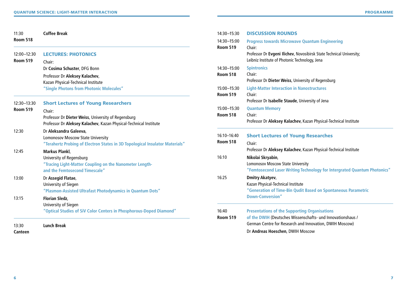| 11:30                          | <b>Coffee Break</b>                                                                                                                                | 14:30-15:30                    | <b>DISCUSSION ROUNDS</b>                                                                                   |
|--------------------------------|----------------------------------------------------------------------------------------------------------------------------------------------------|--------------------------------|------------------------------------------------------------------------------------------------------------|
| <b>Room 518</b>                |                                                                                                                                                    | 14:30-15:00                    | <b>Progress towards Microwa</b>                                                                            |
| 12:00-12:30<br><b>Room 519</b> | <b>LECTURES: PHOTONICS</b><br>Chair:                                                                                                               | <b>Room 519</b>                | Chair:<br>Professor Dr Evgeni Ilichev, I<br>Leibniz Institute of Photonic T                                |
|                                | Dr Cosima Schuster, DFG Bonn                                                                                                                       | 14:30-15:00                    | <b>Spintronics</b>                                                                                         |
|                                | Professor Dr Aleksey Kalachev,<br>Kazan Physical-Technical Institute                                                                               | <b>Room 518</b>                | Chair:<br>Professor Dr Dieter Weiss, Ur                                                                    |
|                                | "Single Photons from Photonic Molecules"                                                                                                           | 15:00-15:30<br><b>Room 519</b> | <b>Light-Matter Interaction in</b><br>Chair:                                                               |
| 12:30-13:30                    | <b>Short Lectures of Young Researchers</b>                                                                                                         |                                | Professor Dr Isabelle Staude                                                                               |
| <b>Room 519</b>                | Chair:<br>Professor Dr Dieter Weiss, University of Regensburg<br>Professor Dr Aleksey Kalachev, Kazan Physical-Technical Institute                 | 15:00-15:30<br><b>Room 518</b> | <b>Quantum Memory</b><br>Chair:<br>Professor Dr Aleksey Kalach                                             |
| 12:30                          | Dr Aleksandra Galeeva,<br><b>Lomonosov Moscow State University</b><br>"Terahertz Probing of Electron States in 3D Topological Insulator Materials" | 16:10-16:40<br><b>Room 518</b> | <b>Short Lectures of You</b><br>Chair:                                                                     |
| 12:45                          | <b>Markus Plankl,</b><br>University of Regensburg<br>"Tracing Light-Matter Coupling on the Nanometer Length-<br>and the Femtosecond Timescale"     | 16:10                          | Professor Dr Aleksey Kalach<br>Nikolai Skryabin,<br>Lomonosov Moscow State Un<br>"Femtosecond Laser Writin |
| 13:00                          | Dr Assegid Flatae,<br>University of Siegen<br>"Plasmon-Assisted Ultrafast Photodynamics in Quantum Dots"                                           | 16:25                          | <b>Dmitry Akatyev,</b><br>Kazan Physical-Technical Insti<br>"Generation of Time-Bin Q                      |
| 13:15                          | <b>Florian Sledz,</b><br>University of Siegen                                                                                                      |                                | <b>Down-Conversion"</b>                                                                                    |
|                                | "Optical Studies of SiV Color Centers in Phosphorous-Doped Diamond"                                                                                | 16:40<br><b>Room 519</b>       | <b>Presentations of the Suppo</b><br>of the DWIH (Deutsches Wis<br>German Centre for Research              |
| 13:30                          | <b>Lunch Break</b>                                                                                                                                 |                                |                                                                                                            |

**Canteen**

| 14:30-15:00<br><b>Room 519</b> | <b>Progress towards Microwave Quantum Engineering</b><br>Chair:<br>Professor Dr Evgeni Ilichev, Novosibirsk State Technical University;<br>Leibniz Institute of Photonic Technology, Jena                          |  |  |
|--------------------------------|--------------------------------------------------------------------------------------------------------------------------------------------------------------------------------------------------------------------|--|--|
| 14:30-15:00<br><b>Room 518</b> | <b>Spintronics</b><br>Chair:<br>Professor Dr Dieter Weiss, University of Regensburg                                                                                                                                |  |  |
| 15:00-15:30<br><b>Room 519</b> | <b>Light-Matter Interaction in Nanostructures</b><br>Chair:<br>Professor Dr Isabelle Staude, University of Jena                                                                                                    |  |  |
| 15:00-15:30<br><b>Room 518</b> | <b>Quantum Memory</b><br>Chair:<br>Professor Dr Aleksey Kalachev, Kazan Physical-Technical Institute                                                                                                               |  |  |
| 16:10-16:40<br><b>Room 518</b> | <b>Short Lectures of Young Researches</b><br>Chair:<br>Professor Dr Aleksey Kalachev, Kazan Physical-Technical Institute                                                                                           |  |  |
| 16:10                          | Nikolai Skryabin,<br>Lomonosov Moscow State University<br>"Femtosecond Laser Writing Technology for Intergrated Quantum Photonics"                                                                                 |  |  |
| 16:25                          | <b>Dmitry Akatyev,</b><br>Kazan Physical-Technical Institute<br>"Generation of Time-Bin Qudit Based on Spontaneous Parametric<br><b>Down-Conversion"</b>                                                           |  |  |
| 16:40<br><b>Room 519</b>       | <b>Presentations of the Supporting Organisations</b><br>of the DWIH (Deutsches Wissenschafts- und Innovationshaus /<br>German Centre for Research and Innovation, DWIH Moscow)<br>Dr Andreas Hoeschen, DWIH Moscow |  |  |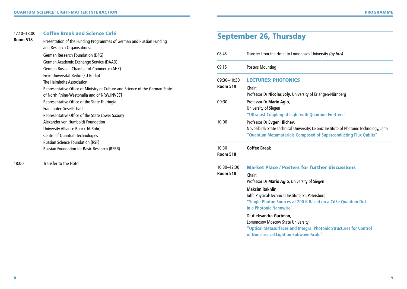#### 17:10–18:00 Coffee Break and Science Café

| <b>Room 518</b> | Presentation of the Funding Programmes of German and Russian Funding<br>and Research Organisations: |  |  |
|-----------------|-----------------------------------------------------------------------------------------------------|--|--|
|                 | German Research Foundation (DFG)                                                                    |  |  |
|                 | German Academic Exchange Service (DAAD)                                                             |  |  |
|                 | German Russian Chamber of Commerce (AHK)                                                            |  |  |
|                 | Freie Universität Berlin (FU Berlin)                                                                |  |  |
|                 | The Helmholtz Association                                                                           |  |  |
|                 | Representative Office of Ministry of Culture and Science of the German State                        |  |  |
|                 | of North Rhine-Westphalia and of NRW.INVEST                                                         |  |  |
|                 | Representative Office of the State Thuringia                                                        |  |  |
|                 | Fraunhofer-Gesellschaft                                                                             |  |  |
|                 | Representative Office of the State Lower Saxony                                                     |  |  |
|                 | Alexander von Humboldt Foundation                                                                   |  |  |
|                 | University Alliance Ruhr (UA Ruhr)                                                                  |  |  |
|                 | Centre of Quantum Technologies                                                                      |  |  |
|                 | <b>Russian Science Foundation (RSF)</b>                                                             |  |  |
|                 | <b>Russian Foundation for Basic Research (RFBR)</b>                                                 |  |  |

18:00 Transfer to the Hotel

# September 26, Thursday

| 08:45                    | Transfer from the Hotel to Lomonosov University (by bus)                               |
|--------------------------|----------------------------------------------------------------------------------------|
| 09:15                    | <b>Posters Mounting</b>                                                                |
| 09:30-10:30              | <b>LECTURES: PHOTONICS</b>                                                             |
| <b>Room 519</b>          | Chair:                                                                                 |
|                          | Professor Dr Nicolas Joly, University of Erlangen-Nürnberg                             |
| 09:30                    | Professor Dr Mario Agio,                                                               |
|                          | University of Siegen                                                                   |
|                          | "Ultrafast Coupling of Light with Quantum Emitters"                                    |
| 10:00                    | Professor Dr Evgeni Ilichev,                                                           |
|                          | Novosibirsk State Technical University; Leibniz Institute of Photonic Technology, Jena |
|                          | "Quantum Metamaterials Composed of Superconducting Flux Qubits"                        |
| 10:30<br><b>Room 518</b> | <b>Coffee Break</b>                                                                    |
| 10:30-12:30              | <b>Market Place / Posters for further discussions</b>                                  |
| <b>Room 518</b>          | Chair:                                                                                 |
|                          | Professor Dr Mario Agio, University of Siegen                                          |
|                          | <b>Maksim Rakhlin,</b>                                                                 |
|                          | Ioffe Physical-Technical Institute, St. Petersburg                                     |
|                          | "Single-Photon Sources at 200 K Based on a CdSe Quantum Dot                            |
|                          | in a Photonic Nanowire"                                                                |
|                          | Dr Aleksandra Gartman,                                                                 |
|                          | <b>Lomonosov Moscow State University</b>                                               |
|                          | "Optical Metasurfaces and Integral Photonic Structures for Control                     |
|                          | of Nonclassical Light on Subwave-Scale"                                                |
|                          |                                                                                        |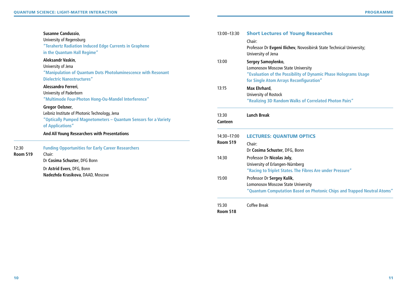|                 | <b>Susanne Candussio,</b><br>University of Regensburg<br>"Terahertz Radiation Induced Edge Currents in Graphene<br>in the Quantum Hall Regime"           | 13:00-13:30                    | <b>Short Lectures of Young Researches</b><br>Chair:<br>Professor Dr Evgeni Ilichev, Novosibirsk State Technical University;<br>University of Jena                            |
|-----------------|----------------------------------------------------------------------------------------------------------------------------------------------------------|--------------------------------|------------------------------------------------------------------------------------------------------------------------------------------------------------------------------|
|                 | Aleksandr Vaskin,<br>University of Jena<br>"Manipulation of Quantum Dots Photoluminescence with Resonant<br><b>Dielectric Nanostructures"</b>            | 13:00                          | Sergey Samoylenko,<br><b>Lomonosov Moscow State University</b><br>"Evaluation of the Possibility of Dynamic Phase Holograms Usage<br>for Single Atom Arrays Reconfiguration" |
|                 | Alessandro Ferreri,<br>University of Paderborn<br>"Multimode Four-Photon Hong-Ou-Mandel Interference"                                                    | 13:15                          | Max Ehrhard,<br>University of Rostock<br>"Realizing 3D Random Walks of Correlated Photon Pairs"                                                                              |
|                 | Gregor Oelsner,<br>Leibniz Institute of Photonic Technology, Jena<br>"Optically Pumped Magnetometers - Quantum Sensors for a Variety<br>of Applications" | 13:30<br><b>Canteen</b>        | <b>Lunch Break</b>                                                                                                                                                           |
| 12:30           | And All Young Researchers with Presentations<br><b>Funding Opportunities for Early Career Researchers</b>                                                | 14:30-17:00<br><b>Room 519</b> | <b>LECTURES: QUANTUM OPTICS</b><br>Chair:<br>Dr Cosima Schuster, DFG, Bonn                                                                                                   |
| <b>Room 519</b> | Chair:<br>Dr Cosima Schuster, DFG Bonn<br>Dr Astrid Evers, DFG, Bonn                                                                                     | 14:30                          | Professor Dr Nicolas Joly,<br>University of Erlangen-Nürnberg<br>"Racing to Triplet States. The Fibres Are under Pressure"                                                   |
|                 | Nadezhda Krasikova, DAAD, Moscow                                                                                                                         | 15:00                          | Professor Dr Sergey Kulik,<br><b>Lomonosov Moscow State University</b><br>"Quantum Computation Based on Photonic Chips and Trapped Neutral Atoms"                            |
|                 |                                                                                                                                                          | 15:30                          | Coffee Break                                                                                                                                                                 |

**Room 518**